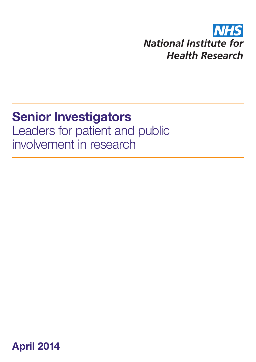#### **NHS National Institute for Health Research**

## **Senior Investigators**

Leaders for patient and public involvement in research

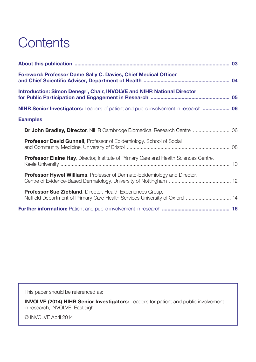### **Contents**

| <b>Foreword: Professor Dame Sally C. Davies, Chief Medical Officer</b>                                                                             |  |
|----------------------------------------------------------------------------------------------------------------------------------------------------|--|
| <b>Introduction: Simon Denegri, Chair, INVOLVE and NIHR National Director</b>                                                                      |  |
| <b>NIHR Senior Investigators:</b> Leaders of patient and public involvement in research  06                                                        |  |
| <b>Examples</b>                                                                                                                                    |  |
| Dr John Bradley, Director, NIHR Cambridge Biomedical Research Centre  06                                                                           |  |
| <b>Professor David Gunnell</b> , Professor of Epidemiology, School of Social                                                                       |  |
| <b>Professor Elaine Hay, Director, Institute of Primary Care and Health Sciences Centre,</b>                                                       |  |
| <b>Professor Hywel Williams</b> , Professor of Dermato-Epidemiology and Director,                                                                  |  |
| <b>Professor Sue Ziebland, Director, Health Experiences Group,</b><br>Nuffield Department of Primary Care Health Services University of Oxford  14 |  |
|                                                                                                                                                    |  |

This paper should be referenced as:

**INVOLVE (2014) NIHR Senior Investigators:** Leaders for patient and public involvement in research, INVOLVE, Eastleigh

© INVOLVE April 2014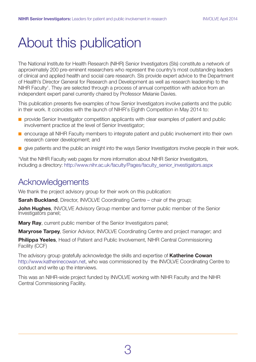### <span id="page-2-0"></span>About this publication

The National Institute for Health Research (NIHR) Senior Investigators (SIs) constitute a network of approximately 200 pre-eminent researchers who represent the country's most outstanding leaders of clinical and applied health and social care research. SIs provide expert advice to the Department of Health's Director General for Research and Development as well as research leadership to the NIHR Faculty<sup>1</sup>. They are selected through a process of annual competition with advice from an independent expert panel currently chaired by Professor Melanie Davies.

This publication presents five examples of how Senior Investigators involve patients and the public in their work. It coincides with the launch of NIHR's Eighth Competition in May 2014 to:

- $\blacksquare$  provide Senior Investigator competition applicants with clear examples of patient and public involvement practice at the level of Senior Investigator;
- $\blacksquare$  encourage all NIHR Faculty members to integrate patient and public involvement into their own research career development; and
- $\blacksquare$  give patients and the public an insight into the ways Senior Investigators involve people in their work.

1 Visit the NIHR Faculty web pages for more information about NIHR Senior Investigators, including a directory: http://www.nihr.ac.uk/faculty/Pages/faculty\_senior\_investigators.aspx

#### Acknowledgements

We thank the project advisory group for their work on this publication:

**Sarah Buckland**, Director, INVOLVE Coordinating Centre – chair of the group;

**John Hughes**, INVOLVE Advisory Group member and former public member of the Senior Investigators panel;

**Mary Ray**, current public member of the Senior Investigators panel;

**Maryrose Tarpey**, Senior Advisor, INVOLVE Coordinating Centre and project manager; and

**Philippa Yeeles**, Head of Patient and Public Involvement, NIHR Central Commissioning Facility (CCF)

The advisory group gratefully acknowledge the skills and expertise of **Katherine Cowan** http://www.katherinecowan.net, who was commissioned by the INVOLVE Coordinating Centre to conduct and write up the interviews.

This was an NIHR-wide project funded by INVOLVE working with NIHR Faculty and the NIHR Central Commissioning Facility.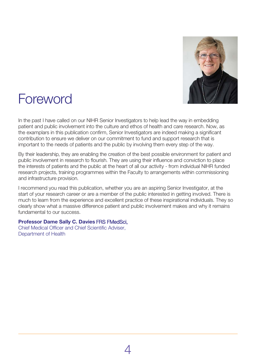

#### <span id="page-3-0"></span>Foreword

In the past I have called on our NIHR Senior Investigators to help lead the way in embedding patient and public involvement into the culture and ethos of health and care research. Now, as the examplars in this publication confirm, Senior Investigators are indeed making a significant contribution to ensure we deliver on our commitment to fund and support research that is important to the needs of patients and the public by involving them every step of the way.

By their leadership, they are enabling the creation of the best possible environment for patient and public involvement in research to flourish. They are using their influence and conviction to place the interests of patients and the public at the heart of all our activity - from individual NIHR funded research projects, training programmes within the Faculty to arrangements within commissioning and infrastructure provision.

I recommend you read this publication, whether you are an aspiring Senior Investigator, at the start of your research career or are a member of the public interested in getting involved. There is much to learn from the experience and excellent practice of these inspirational individuals. They so clearly show what a massive difference patient and public involvement makes and why it remains fundamental to our success.

#### **Professor Dame Sally C. Davies** FRS FMedSci,

Chief Medical Officer and Chief Scientific Adviser, Department of Health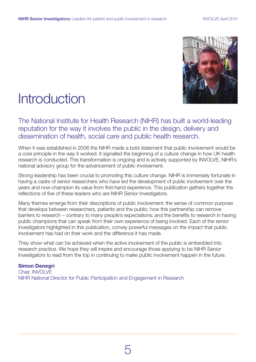

#### <span id="page-4-0"></span>**Introduction**

The National Institute for Health Research (NIHR) has built a world-leading reputation for the way it involves the public in the design, delivery and dissemination of health, social care and public health research.

When it was established in 2006 the NIHR made a bold statement that public involvement would be a core principle in the way it worked. It signalled the beginning of a culture change in how UK health research is conducted. This transformation is ongoing and is actively supported by INVOLVE, NIHR's national advisory group for the advancement of public involvement.

Strong leadership has been crucial to promoting this culture change. NIHR is immensely fortunate in having a cadre of senior researchers who have led the development of public involvement over the years and now champion its value from first-hand experience. This publication gathers together the reflections of five of these leaders who are NIHR Senior Investigators.

Many themes emerge from their descriptions of public involvement: the sense of common purpose that develops between researchers, patients and the public; how this partnership can remove barriers to research – contrary to many people's expectations; and the benefits to research in having public champions that can speak from their own experience of being involved. Each of the senior investigators highlighted in this publication, convey powerful messages on the impact that public involvement has had on their work and the difference it has made.

They show what can be achieved when the active involvement of the public is embedded into research practice. We hope they will inspire and encourage those applying to be NIHR Senior Investigators to lead from the top in continuing to make public involvement happen in the future.

#### **Simon Denegri**

Chair, INVOLVE NIHR National Director for Public Participation and Engagement in Research

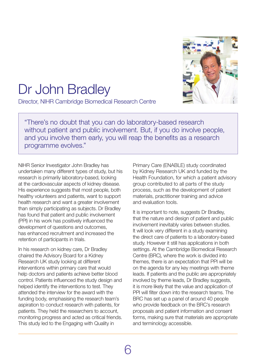

## <span id="page-5-0"></span>Dr John Bradley

Director, NIHR Cambridge Biomedical Research Centre

"There's no doubt that you can do laboratory-based research without patient and public involvement. But, if you do involve people, and you involve them early, you will reap the benefits as a research programme evolves."

NIHR Senior Investigator John Bradley has undertaken many different types of study, but his research is primarily laboratory-based, looking at the cardiovascular aspects of kidney disease. His experience suggests that most people, both healthy volunteers and patients, want to support health research and want a greater involvement than simply participating as subjects. Dr Bradley has found that patient and public involvement (PPI) in his work has positively influenced the development of questions and outcomes, has enhanced recruitment and increased the retention of participants in trials.

In his research on kidney care, Dr Bradley chaired the Advisory Board for a Kidney Research UK study looking at different interventions within primary care that would help doctors and patients achieve better blood control. Patients influenced the study design and helped identify the interventions to test. They attended the interview for the award with the funding body, emphasising the research team's aspiration to conduct research with patients, for patients. They held the researchers to account, monitoring progress and acted as critical friends. This study led to the Engaging with Quality in

Primary Care (ENABLE) study coordinated by Kidney Research UK and funded by the Health Foundation, for which a patient advisory group contributed to all parts of the study process, such as the development of patient materials, practitioner training and advice and evaluation tools.

It is important to note, suggests Dr Bradley, that the nature and design of patient and public involvement inevitably varies between studies. It will look very different in a study examining the direct care of patients to a laboratory-based study. However it still has applications in both settings. At the Cambridge Biomedical Research Centre (BRC), where the work is divided into themes, there is an expectation that PPI will be on the agenda for any key meetings with theme leads. If patients and the public are appropriately involved by theme leads, Dr Bradley suggests, it is more likely that the value and application of PPI will filter down into the research teams. The BRC has set up a panel of around 40 people who provide feedback on the BRC's research proposals and patient information and consent forms, making sure that materials are appropriate and terminology accessible.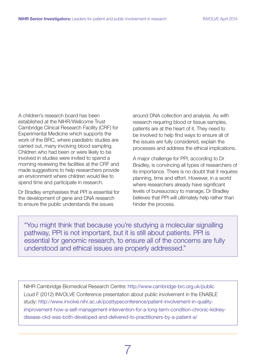A children's research board has been established at the NIHR/Wellcome Trust Cambridge Clinical Research Facility (CRF) for Experimental Medicine which supports the work of the BRC, where paediatric studies are carried out, many involving blood sampling. Children who had been or were likely to be involved in studies were invited to spend a morning reviewing the facilities at the CRF and made suggestions to help researchers provide an environment where children would like to spend time and participate in research.

Dr Bradley emphasises that PPI is essential for the development of gene and DNA research to ensure the public understands the issues

around DNA collection and analysis. As with research requiring blood or tissue samples, patients are at the heart of it. They need to be involved to help find ways to ensure all of the issues are fully considered, explain the processes and address the ethical implications.

A major challenge for PPI, according to Dr Bradley, is convincing all types of researchers of its importance. There is no doubt that it requires planning, time and effort. However, in a world where researchers already have significant levels of bureaucracy to manage, Dr Bradley believes that PPI will ultimately help rather than hinder the process.

"You might think that because you're studying a molecular signalling pathway, PPI is not important, but it is still about patients. PPI is essential for genomic research, to ensure all of the concerns are fully understood and ethical issues are properly addressed."

NIHR Cambridge Biomedical Research Centre: http://www.cambridge-brc.org.uk/public Loud F (2012) INVOLVE Conference presentation about public involvement in the ENABLE study: http://www.involve.nihr.ac.uk/posttypeconference/patient-involvement-in-quality[improvement-how-a-self-management-intervention-for-a-long-term-condition-chronic-kidney](http://www.involve.nihr.ac.uk/posttypeconference/patient-involvement-in-quality-improvement-how-a-self-management-intervention-for-a-long-term-condition-chronic-kidney-disease-ckd-was-both-developed-and-delivered-to-practitione)disease-ckd-was-both-developed-and-delivered-to-practitioners-by-a-patient-a/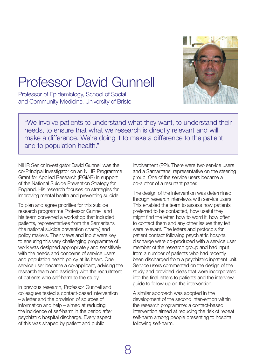

# <span id="page-7-0"></span>Professor David Gunnell

Professor of Epidemiology, School of Social and Community Medicine, University of Bristol

"We involve patients to understand what they want, to understand their needs, to ensure that what we research is directly relevant and will make a difference. We're doing it to make a difference to the patient and to population health."

NIHR Senior Investigator David Gunnell was the co-Principal Investigator on an NIHR Programme Grant for Applied Research (PGfAR) in support of the National Suicide Prevention Strategy for England. His research focuses on strategies for improving mental health and preventing suicide.

To plan and agree priorities for this suicide research programme Professor Gunnell and his team convened a workshop that included patients, representatives from the Samaritans (the national suicide prevention charity) and policy makers. Their views and input were key to ensuring this very challenging programme of work was designed appropriately and sensitively with the needs and concerns of service users and population health policy at its heart. One service user became a co-applicant, advising the research team and assisting with the recruitment of patients who self-harm to the study.

In previous research, Professor Gunnell and colleagues tested a contact-based intervention – a letter and the provision of sources of information and help – aimed at reducing the incidence of self-harm in the period after psychiatric hospital discharge. Every aspect of this was shaped by patient and public

involvement (PPI). There were two service users and a Samaritans' representative on the steering group. One of the service users became a co-author of a resultant paper.

The design of the intervention was determined through research interviews with service users. This enabled the team to assess how patients preferred to be contacted, how useful they might find the letter, how to word it, how often to contact them and any other issues they felt were relevant. The letters and protocols for patient contact following psychiatric hospital discharge were co-produced with a service user member of the research group and had input from a number of patients who had recently been discharged from a psychiatric inpatient unit. Service users commented on the design of the study and provided ideas that were incorporated into the final letters to patients and the interview guide to follow up on the intervention.

A similar approach was adopted in the development of the second intervention within the research programme: a contact-based intervention aimed at reducing the risk of repeat self-harm among people presenting to hospital following self-harm.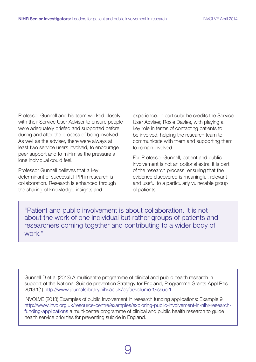Professor Gunnell and his team worked closely with their Service User Adviser to ensure people were adequately briefed and supported before, during and after the process of being involved. As well as the adviser, there were always at least two service users involved, to encourage peer support and to minimise the pressure a lone individual could feel.

Professor Gunnell believes that a key determinant of successful PPI in research is collaboration. Research is enhanced through the sharing of knowledge, insights and

experience. In particular he credits the Service User Adviser, Rosie Davies, with playing a key role in terms of contacting patients to be involved, helping the research team to communicate with them and supporting them to remain involved.

For Professor Gunnell, patient and public involvement is not an optional extra: it is part of the research process, ensuring that the evidence discovered is meaningful, relevant and useful to a particularly vulnerable group of patients.

"Patient and public involvement is about collaboration. It is not about the work of one individual but rather groups of patients and researchers coming together and contributing to a wider body of work."

Gunnell D et al (2013) A multicentre programme of clinical and public health research in support of the National Suicide prevention Strategy for England, Programme Grants Appl Res 2013:1(1) <http://www.journalslibrary.nihr.ac.uk/pgfar/volume-1/issue-1>

INVOLVE (2013) Examples of public involvement in research funding applications: Example 9 http://www.invo.org.uk/resource-centre/examples/exploring-public-involvement-in-nihr-researchfunding-applications a multi-centre programme of clinical and public health research to guide health service priorities for preventing suicide in England.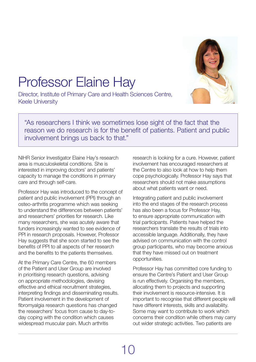

# <span id="page-9-0"></span>Professor Elaine Hay

Director, Institute of Primary Care and Health Sciences Centre, Keele University

"As researchers I think we sometimes lose sight of the fact that the reason we do research is for the benefit of patients. Patient and public involvement brings us back to that."

NIHR Senior Investigator Elaine Hay's research area is musculoskeletal conditions. She is interested in improving doctors' and patients' capacity to manage the conditions in primary care and through self-care.

Professor Hay was introduced to the concept of patient and public involvement (PPI) through an osteo-arthritis programme which was seeking to understand the differences between patients' and researchers' priorities for research. Like many researchers, she was acutely aware that funders increasingly wanted to see evidence of PPI in research proposals. However, Professor Hay suggests that she soon started to see the benefits of PPI to all aspects of her research and the benefits to the patients themselves.

At the Primary Care Centre, the 60 members of the Patient and User Group are involved in prioritising research questions, advising on appropriate methodologies, devising effective and ethical recruitment strategies, interpreting findings and disseminating results. Patient involvement in the development of fibromyalgia research questions has changed the researchers' focus from cause to day-today coping with the condition which causes widespread muscular pain. Much arthritis

research is looking for a cure. However, patient involvement has encouraged researchers at the Centre to also look at how to help them cope psychologically. Professor Hay says that researchers should not make assumptions about what patients want or need.

Integrating patient and public involvement into the end stages of the research process has also been a focus for Professor Hay, to ensure appropriate communication with trial participants. Patients have helped the researchers translate the results of trials into accessible language. Additionally, they have advised on communication with the control group participants, who may become anxious that they have missed out on treatment opportunities.

Professor Hay has committed core funding to ensure the Centre's Patient and User Group is run effectively. Organising the members, allocating them to projects and supporting their involvement is resource-intensive. It is important to recognise that different people will have different interests, skills and availability. Some may want to contribute to work which concerns their condition while others may carry out wider strategic activities. Two patients are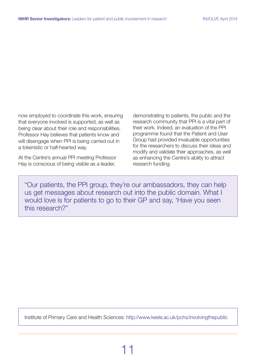now employed to coordinate this work, ensuring that everyone involved is supported, as well as being clear about their role and responsibilities. Professor Hay believes that patients know and will disengage when PPI is being carried out in a tokenistic or half-hearted way.

At the Centre's annual PPI meeting Professor Hay is conscious of being visible as a leader,

demonstrating to patients, the public and the research community that PPI is a vital part of their work. Indeed, an evaluation of the PPI programme found that the Patient and User Group had provided invaluable opportunities for the researchers to discuss their ideas and modify and validate their approaches, as well as enhancing the Centre's ability to attract research funding.

"Our patients, the PPI group, they're our ambassadors, they can help us get messages about research out into the public domain. What I would love is for patients to go to their GP and say, 'Have you seen this research?"

Institute of Primary Care and Health Sciences: http://www.keele.ac.uk/pchs/involvingthepublic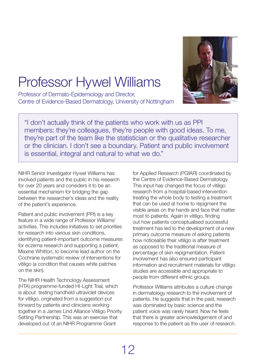

# <span id="page-11-0"></span>Professor Hywel Williams

Professor of Dermato-Epidemiology and Director, Centre of Evidence-Based Dermatology, University of Nottingham

"I don't actually think of the patients who work with us as PPI members: they're colleagues, they're people with good ideas. To me, they're part of the team like the statistician or the qualitative researcher or the clinician. I don't see a boundary. Patient and public involvement is essential, integral and natural to what we do."

NIHR Senior Investigator Hywel Williams has involved patients and the public in his research for over 20 years and considers it to be an essential mechanism for bridging the gap between the researcher's ideas and the reality of the patient's experience.

Patient and public involvement (PPI) is a key feature in a wide range of Professor Williams' activities. This includes initiatives to set priorities for research into various skin conditions, identifying patient-important outcome measures for eczema research and supporting a patient, Maxine Whitton, to become lead author on the Cochrane systematic review of interventions for vitiligo (a condition that causes white patches on the skin).

The NIHR Health Technology Assessment (HTA) programme-funded HI-Light Trial, which is about testing handheld ultraviolet devices for vitiligo, originated from a suggestion put forward by patients and clinicians working together in a James Lind Alliance Vitiligo Priority Setting Partnership. This was an exercise that developed out of an NIHR Programme Grant

for Applied Research (PGfAR) coordinated by the Centre of Evidence-Based Dermatology. This input has changed the focus of vitiligo research from a hospital-based intervention treating the whole body to testing a treatment that can be used at home to repigment the visible areas on the hands and face that matter most to patients. Again in vitiligo, finding out how patients conceptualised successful treatment has led to the development of a new primary outcome measure of asking patients how noticeable their vitiligo is after treatment as opposed to the traditional measure of percentage of skin repigmentation. Patient involvement has also ensured participant information and recruitment materials for vitiligo studies are accessible and appropriate to people from different ethnic groups.

Professor Williams attributes a culture change in dermatology research to the involvement of patients. He suggests that in the past, research was dominated by basic science and the patient voice was rarely heard. Now he feels that there is greater acknowledgement of and response to the patient as the user of research.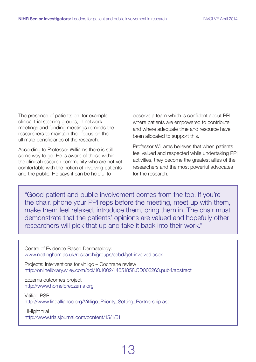The presence of patients on, for example, clinical trial steering groups, in network meetings and funding meetings reminds the researchers to maintain their focus on the ultimate beneficiaries of the research.

According to Professor Williams there is still some way to go. He is aware of those within the clinical research community who are not yet comfortable with the notion of involving patients and the public. He says it can be helpful to

observe a team which is confident about PPI, where patients are empowered to contribute and where adequate time and resource have been allocated to support this.

Professor Williams believes that when patients feel valued and respected while undertaking PPI activities, they become the greatest allies of the researchers and the most powerful advocates for the research.

"Good patient and public involvement comes from the top. If you're the chair, phone your PPI reps before the meeting, meet up with them, make them feel relaxed, introduce them, bring them in. The chair must demonstrate that the patients' opinions are valued and hopefully other researchers will pick that up and take it back into their work."

Centre of Evidence Based Dermatology: www.nottingham.ac.uk/research/groups/cebd/get-involved.aspx

Projects: [Interventions for vitiligo – Cochrane review](http://onlinelibrary.wiley.com/doi/10.1002/14651858.CD003263.pub4/abstract) http://onlinelibrary.wiley.com/doi/10.1002/14651858.CD003263.pub4/abstract

[Eczema outcomes project](http://www.homeforeczema.org) http://www.homeforeczema.org

[Vitiligo PSP](http://www.lindalliance.org/Vitiligo_Priority_Setting_Partnership.asp) http://www.lindalliance.org/Vitiligo\_Priority\_Setting\_Partnership.asp

[HI-light trial](http://www.trialsjournal.com/content/15/1/51) http://www.trialsjournal.com/content/15/1/51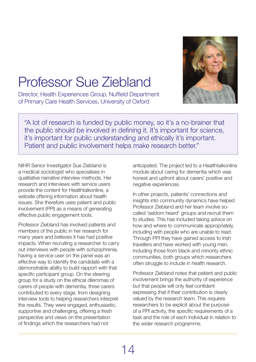

# <span id="page-13-0"></span>Professor Sue Ziebland

Director, Health Experiences Group, Nuffield Department of Primary Care Health Services, University of Oxford

"A lot of research is funded by public money, so it's a no-brainer that the public should be involved in defining it. It's important for science, it's important for public understanding and ethically it's important. Patient and public involvement helps make research better."

NIHR Senior Investigator Sue Ziebland is a medical sociologist who specialises in qualitative narrative interview methods. Her research and interviews with service users provide the content for Healthtalkonline, a website offering information about health issues. She therefore uses patient and public involvement (PPI) as a means of generating effective public engagement tools.

Professor Ziebland has involved patients and members of the public in her research for many years and believes it has had positive impacts. When recruiting a researcher to carry out interviews with people with schizophrenia, having a service user on the panel was an effective way to identify the candidate with a demonstrable ability to build rapport with that specific participant group. On the steering group for a study on the ethical dilemmas of carers of people with dementia, three carers contributed to every stage, from designing interview tools to helping researchers interpret the results. They were engaged, enthusiastic, supportive and challenging, offering a fresh perspective and views on the presentation of findings which the researchers had not

anticipated. The project led to a Healthtalkonline module about caring for dementia which was honest and upfront about carers' positive and negative experiences.

In other projects, patients' connections and insights into community dynamics have helped Professor Ziebland and her team involve socalled 'seldom heard' groups and recruit them to studies. This has included taking advice on how and where to communicate appropriately, including with people who are unable to read. Through PPI they have gained access to Irish travellers and have worked with young men, including those from black and minority ethnic communities, both groups which researchers often struggle to include in health research.

Professor Ziebland notes that patient and public involvement brings the authority of experience but that people will only feel confident expressing that if their contribution is clearly valued by the research team. This requires researchers to be explicit about the purpose of a PPI activity, the specific requirements of a task and the role of each individual in relation to the wider research programme.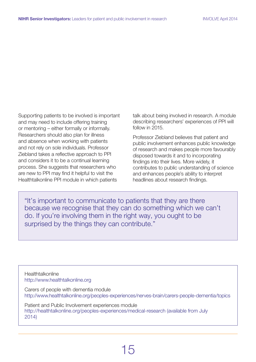Supporting patients to be involved is important and may need to include offering training or mentoring – either formally or informally. Researchers should also plan for illness and absence when working with patients and not rely on sole individuals. Professor Ziebland takes a reflective approach to PPI and considers it to be a continual learning process. She suggests that researchers who are new to PPI may find it helpful to visit the Healthtalkonline PPI module in which patients

talk about being involved in research. A module describing researchers' experiences of PPI will follow in 2015.

Professor Ziebland believes that patient and public involvement enhances public knowledge of research and makes people more favourably disposed towards it and to incorporating findings into their lives. More widely, it contributes to public understanding of science and enhances people's ability to interpret headlines about research findings.

"It's important to communicate to patients that they are there because we recognise that they can do something which we can't do. If you're involving them in the right way, you ought to be surprised by the things they can contribute."

**Healthtalkonline** http://www.healthtalkonline.org

Carers of people with dementia [module](www.healthtalkonline.org/peoples-experiences/nerves-brain/carers-people-dementia/topics) http://www.healthtalkonline.org/peoples-experiences/nerves-brain/carers-people-dementia/topics

Patient and Public Involvement experiences [module](http://healthtalkonline.org/peoples-experiences/improving-health-care/patient-and-public-involvement-research/topics) http://healthtalkonline.org/peoples-experiences/medical-research (available from July 2014)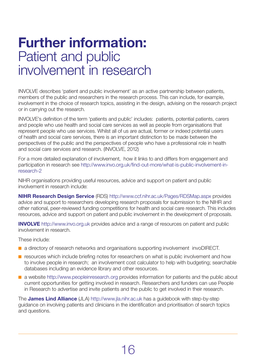#### **Further information:**  Patient and public involvement in research

INVOLVE describes 'patient and public involvement' as an active partnership between patients, members of the public and researchers in the research process. This can include, for example, involvement in the choice of research topics, assisting in the design, advising on the research project or in carrying out the research.

INVOLVE's definition of the term 'patients and public' includes: patients, potential patients, carers and people who use health and social care services as well as people from organisations that represent people who use services. Whilst all of us are actual, former or indeed potential users of health and social care services, there is an important distinction to be made between the perspectives of the public and the perspectives of people who have a professional role in health and social care services and research. (INVOLVE, 2012)

For a more detailed explanation of involvement, how it links to and differs from engagement and participation in research see http://www.invo.org.uk/find-out-more/what-is-public-involvement-inresearch-2

NIHR organisations providing useful resources, advice and support on patient and public involvement in research include:

**NIHR Research Design Service** (RDS) http://www.ccf.nihr.ac.uk/Pages/RDSMap.aspx provides advice and support to researchers developing research proposals for submission to the NIHR and other national, peer-reviewed funding competitions for health and social care research. This includes resources, advice and support on patient and public involvement in the development of proposals.

**INVOLVE** http://www.invo.org.uk provides advice and a range of resources on patient and public involvement in research.

These include:

- $\blacksquare$  a directory of research networks and organisations supporting involvement invoDIRECT.
- $\blacksquare$  resources which include briefing notes for researchers on what is public involvement and how to involve people in research; an involvement cost calculator to help with budgeting; searchable databases including an evidence library and other resources.
- $\blacksquare$  a website http://www.peopleinresearch.org provides information for patients and the public about current opportunities for getting involved in research. Researchers and funders can use People in Research to advertise and invite patients and the public to get involved in their research.

The **James Lind Alliance** (JLA) http://www.jla.nihr.ac.uk has a guidebook with step-by-step guidance on involving patients and clinicians in the identification and prioritisation of search topics and questions.